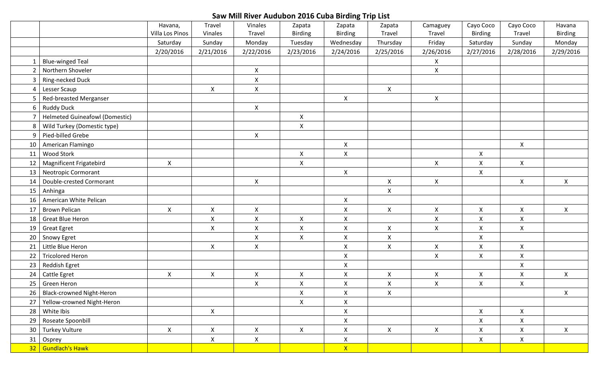## **Saw Mill River Audubon 2016 Cuba Birding Trip List**

|                |                                       | Havana,         | Travel             | Vinales            | Zapata                    | Zapata             | Zapata             | Camaguey           | Cayo Coco      | Cayo Coco          | Havana             |
|----------------|---------------------------------------|-----------------|--------------------|--------------------|---------------------------|--------------------|--------------------|--------------------|----------------|--------------------|--------------------|
|                |                                       | Villa Los Pinos | Vinales            | Travel             | <b>Birding</b>            | <b>Birding</b>     | Travel             | Travel             | <b>Birding</b> | Travel             | <b>Birding</b>     |
|                |                                       | Saturday        | Sunday             | Monday             | Tuesday                   | Wednesday          | Thursday           | Friday             | Saturday       | Sunday             | Monday             |
|                |                                       | 2/20/2016       | 2/21/2016          | 2/22/2016          | 2/23/2016                 | 2/24/2016          | 2/25/2016          | 2/26/2016          | 2/27/2016      | 2/28/2016          | 2/29/2016          |
|                | <b>Blue-winged Teal</b>               |                 |                    |                    |                           |                    |                    | X                  |                |                    |                    |
| 2              | Northern Shoveler                     |                 |                    | X                  |                           |                    |                    | $\pmb{\mathsf{X}}$ |                |                    |                    |
| $\mathbf{3}$   | Ring-necked Duck                      |                 |                    | $\mathsf{X}$       |                           |                    |                    |                    |                |                    |                    |
| 4              | Lesser Scaup                          |                 | $\pmb{\mathsf{X}}$ | $\mathsf{X}$       |                           |                    | $\mathsf X$        |                    |                |                    |                    |
| 5              | Red-breasted Merganser                |                 |                    |                    |                           | $\pmb{\mathsf{X}}$ |                    | $\pmb{\mathsf{X}}$ |                |                    |                    |
| 6 <sup>1</sup> | <b>Ruddy Duck</b>                     |                 |                    | $\mathsf{X}$       |                           |                    |                    |                    |                |                    |                    |
|                | <b>Helmeted Guineafowl (Domestic)</b> |                 |                    |                    | $\pmb{\times}$            |                    |                    |                    |                |                    |                    |
| 8              | Wild Turkey (Domestic type)           |                 |                    |                    | $\boldsymbol{\mathsf{X}}$ |                    |                    |                    |                |                    |                    |
| 9              | Pied-billed Grebe                     |                 |                    | $\mathsf{X}$       |                           |                    |                    |                    |                |                    |                    |
| 10             | American Flamingo                     |                 |                    |                    |                           | $\pmb{\mathsf{X}}$ |                    |                    |                | $\pmb{\mathsf{X}}$ |                    |
| 11             | <b>Wood Stork</b>                     |                 |                    |                    | $\pmb{\times}$            | $\pmb{\mathsf{X}}$ |                    |                    | X              |                    |                    |
| 12             | Magnificent Frigatebird               | $\pmb{\times}$  |                    |                    | $\pmb{\mathsf{X}}$        |                    |                    | $\mathsf{X}$       | $\mathsf{X}$   | $\pmb{\mathsf{X}}$ |                    |
| 13             | <b>Neotropic Cormorant</b>            |                 |                    |                    |                           | $\mathsf{X}$       |                    |                    | $\mathsf{X}$   |                    |                    |
| 14             | Double-crested Cormorant              |                 |                    | $\pmb{\mathsf{X}}$ |                           |                    | $\mathsf X$        | $\mathsf{X}$       |                | $\mathsf{X}$       | $\mathsf{X}$       |
| 15             | Anhinga                               |                 |                    |                    |                           |                    | $\mathsf X$        |                    |                |                    |                    |
| 16             | American White Pelican                |                 |                    |                    |                           | $\pmb{\mathsf{X}}$ |                    |                    |                |                    |                    |
| 17             | <b>Brown Pelican</b>                  | $\pmb{\chi}$    | $\pmb{\mathsf{X}}$ | $\pmb{\mathsf{X}}$ |                           | $\pmb{\mathsf{X}}$ | $\pmb{\mathsf{X}}$ | $\pmb{\times}$     | $\mathsf{X}$   | $\pmb{\mathsf{X}}$ | $\mathsf{X}$       |
| 18             | <b>Great Blue Heron</b>               |                 | $\pmb{\mathsf{X}}$ | $\pmb{\mathsf{X}}$ | $\pmb{\mathsf{X}}$        | $\pmb{\mathsf{X}}$ |                    | $\pmb{\times}$     | X              | $\pmb{\mathsf{X}}$ |                    |
| 19             | <b>Great Egret</b>                    |                 | $\mathsf{X}$       | $\mathsf{X}$       | $\pmb{\times}$            | $\mathsf X$        | $\mathsf{X}$       | $\mathsf{X}$       | $\mathsf{X}$   | $\mathsf{X}$       |                    |
| 20             | Snowy Egret                           |                 |                    | $\mathsf{X}$       | $\mathsf{X}$              | $\mathsf{X}$       | X                  |                    | $\mathsf{X}$   |                    |                    |
| 21             | Little Blue Heron                     |                 | $\mathsf X$        | $\mathsf{X}$       |                           | $\pmb{\mathsf{X}}$ | $\mathsf X$        | $\pmb{\mathsf{X}}$ | $\mathsf{X}$   | $\pmb{\mathsf{X}}$ |                    |
| 22             | <b>Tricolored Heron</b>               |                 |                    |                    |                           | $\mathsf X$        |                    | $\mathsf{X}$       | $\mathsf{X}$   | $\pmb{\mathsf{X}}$ |                    |
| 23             | Reddish Egret                         |                 |                    |                    |                           | $\pmb{\times}$     |                    |                    |                | $\mathsf X$        |                    |
| 24             | Cattle Egret                          | $\pmb{\chi}$    | $\pmb{\mathsf{X}}$ | $\pmb{\mathsf{X}}$ | $\pmb{\mathsf{X}}$        | $\pmb{\mathsf{X}}$ | $\mathsf X$        | $\mathsf X$        | $\mathsf{X}$   | $\mathsf X$        | $\mathsf{X}$       |
| 25             | Green Heron                           |                 |                    | $\mathsf{X}$       | $\pmb{\times}$            | $\mathsf X$        | $\mathsf{X}$       | $\pmb{\mathsf{X}}$ | $\mathsf{X}$   | $\mathsf{X}$       |                    |
|                | 26   Black-crowned Night-Heron        |                 |                    |                    | $\pmb{\mathsf{X}}$        | $\pmb{\mathsf{X}}$ | $\mathsf X$        |                    |                |                    | $\pmb{\mathsf{X}}$ |
| 27             | Yellow-crowned Night-Heron            |                 |                    |                    | $\mathsf{X}$              | $\pmb{\mathsf{X}}$ |                    |                    |                |                    |                    |
| 28             | White Ibis                            |                 | $\mathsf{X}^-$     |                    |                           | $\pmb{\mathsf{X}}$ |                    |                    | $\mathsf{X}^-$ | $\mathsf{X}$       |                    |
| 29             | Roseate Spoonbill                     |                 |                    |                    |                           | $\pmb{\mathsf{X}}$ |                    |                    | $\mathsf{X}$   | $\pmb{\mathsf{X}}$ |                    |
|                | 30 Turkey Vulture                     | $\pmb{\times}$  | $\mathsf X$        | $\mathsf{X}^-$     | $\mathsf{X}$              | $\pmb{\mathsf{X}}$ | $\mathsf{X}^-$     | $\mathsf{X}$       | $\mathsf{X}$   | $\mathsf{X}$       | $\mathsf{X}^-$     |
|                | 31 Osprey                             |                 | $\mathsf X$        | $\mathsf X$        |                           | $\mathsf X$        |                    |                    | $\mathsf{X}^-$ | $\mathsf X$        |                    |
|                | 32 Gundlach's Hawk                    |                 |                    |                    |                           | $\mathsf{X}$       |                    |                    |                |                    |                    |
|                |                                       |                 |                    |                    |                           |                    |                    |                    |                |                    |                    |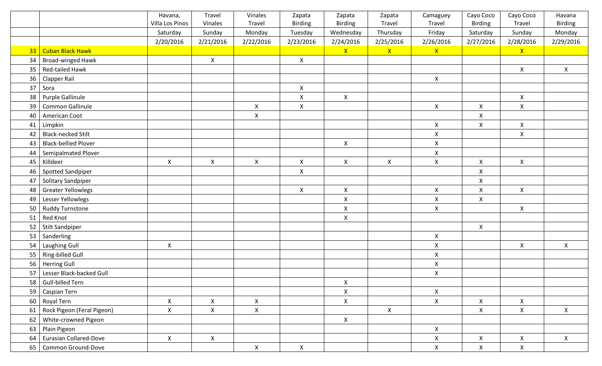|    |                               | Havana,                   | Travel         | Vinales      | Zapata             | Zapata             | Zapata             | Camaguey           | Cayo Coco          | Cayo Coco          | Havana         |
|----|-------------------------------|---------------------------|----------------|--------------|--------------------|--------------------|--------------------|--------------------|--------------------|--------------------|----------------|
|    |                               | Villa Los Pinos           | Vinales        | Travel       | <b>Birding</b>     | <b>Birding</b>     | Travel             | Travel             | <b>Birding</b>     | Travel             | <b>Birding</b> |
|    |                               | Saturday                  | Sunday         | Monday       | Tuesday            | Wednesday          | Thursday           | Friday             | Saturday           | Sunday             | Monday         |
|    |                               | 2/20/2016                 | 2/21/2016      | 2/22/2016    | 2/23/2016          | 2/24/2016          | 2/25/2016          | 2/26/2016          | 2/27/2016          | 2/28/2016          | 2/29/2016      |
|    | 33   Cuban Black Hawk         |                           |                |              |                    | $\mathsf{X}$       | $\mathsf{X}$       | $\mathsf{X}$       |                    | $\mathsf{X}$       |                |
| 34 | Broad-winged Hawk             |                           | $\mathsf X$    |              | $\pmb{\mathsf{X}}$ |                    |                    |                    |                    |                    |                |
| 35 | Red-tailed Hawk               |                           |                |              |                    |                    |                    |                    |                    | $\mathsf X$        | $\mathsf{X}^-$ |
| 36 | <b>Clapper Rail</b>           |                           |                |              |                    |                    |                    | $\pmb{\mathsf{X}}$ |                    |                    |                |
| 37 | Sora                          |                           |                |              | $\pmb{\mathsf{X}}$ |                    |                    |                    |                    |                    |                |
| 38 | Purple Gallinule              |                           |                |              | $\pmb{\mathsf{X}}$ | $\pmb{\mathsf{X}}$ |                    |                    |                    | $\mathsf X$        |                |
| 39 | Common Gallinule              |                           |                | $\mathsf X$  | $\pmb{\mathsf{X}}$ |                    |                    | $\mathsf{X}$       | $\mathsf{X}$       | $\pmb{\mathsf{X}}$ |                |
| 40 | American Coot                 |                           |                | $\mathsf X$  |                    |                    |                    |                    | $\mathsf X$        |                    |                |
| 41 | Limpkin                       |                           |                |              |                    |                    |                    | $\mathsf{X}$       | $\mathsf{X}$       | $\mathsf X$        |                |
| 42 | <b>Black-necked Stilt</b>     |                           |                |              |                    |                    |                    | $\pmb{\times}$     |                    | $\mathsf{X}$       |                |
| 43 | <b>Black-bellied Plover</b>   |                           |                |              |                    | $\pmb{\mathsf{X}}$ |                    | $\pmb{\mathsf{X}}$ |                    |                    |                |
| 44 | Semipalmated Plover           |                           |                |              |                    |                    |                    | $\mathsf X$        |                    |                    |                |
| 45 | Killdeer                      | $\pmb{\mathsf{X}}$        | $\mathsf X$    | $\mathsf X$  | $\pmb{\mathsf{X}}$ | $\pmb{\mathsf{X}}$ | $\pmb{\mathsf{X}}$ | $\mathsf X$        | $\pmb{\mathsf{X}}$ | $\pmb{\mathsf{X}}$ |                |
| 46 | <b>Spotted Sandpiper</b>      |                           |                |              | $\pmb{\times}$     |                    |                    |                    | $\pmb{\mathsf{X}}$ |                    |                |
| 47 | Solitary Sandpiper            |                           |                |              |                    |                    |                    |                    | X                  |                    |                |
| 48 | <b>Greater Yellowlegs</b>     |                           |                |              | $\pmb{\times}$     | $\mathsf{X}$       |                    | $\mathsf X$        | $\pmb{\times}$     | $\mathsf{X}$       |                |
| 49 | Lesser Yellowlegs             |                           |                |              |                    | $\mathsf X$        |                    | $\mathsf{X}$       | $\mathsf{X}$       |                    |                |
| 50 | <b>Ruddy Turnstone</b>        |                           |                |              |                    | $\pmb{\mathsf{X}}$ |                    | $\pmb{\mathsf{X}}$ |                    | $\pmb{\mathsf{X}}$ |                |
| 51 | Red Knot                      |                           |                |              |                    | $\pmb{\times}$     |                    |                    |                    |                    |                |
| 52 | <b>Stilt Sandpiper</b>        |                           |                |              |                    |                    |                    |                    | $\pmb{\mathsf{X}}$ |                    |                |
| 53 | Sanderling                    |                           |                |              |                    |                    |                    | $\mathsf X$        |                    |                    |                |
| 54 | Laughing Gull                 | $\boldsymbol{\mathsf{X}}$ |                |              |                    |                    |                    | $\pmb{\times}$     |                    | $\mathsf{X}$       | $\mathsf{X}$   |
| 55 | Ring-billed Gull              |                           |                |              |                    |                    |                    | $\pmb{\mathsf{X}}$ |                    |                    |                |
| 56 | <b>Herring Gull</b>           |                           |                |              |                    |                    |                    | $\pmb{\mathsf{X}}$ |                    |                    |                |
| 57 | Lesser Black-backed Gull      |                           |                |              |                    |                    |                    | $\pmb{\mathsf{X}}$ |                    |                    |                |
|    | 58 Gull-billed Tern           |                           |                |              |                    | $\pmb{\mathsf{X}}$ |                    |                    |                    |                    |                |
| 59 | Caspian Tern                  |                           |                |              |                    | $\pmb{\mathsf{X}}$ |                    | $\mathsf{X}$       |                    |                    |                |
| 60 | Royal Tern                    | $\mathsf X$               | $\mathsf X$    | $\mathsf X$  |                    | $\pmb{\mathsf{X}}$ |                    | $\mathsf{X}$       | $\mathsf{X}$       | $\mathsf X$        |                |
| 61 | Rock Pigeon (Feral Pigeon)    | $\mathsf{X}$              | $\mathsf{X}^-$ | $\mathsf{X}$ |                    |                    | $\mathsf{X}^-$     |                    | $\mathsf{X}^-$     | $\mathsf{X}$       | $\mathsf{X}^-$ |
| 62 | White-crowned Pigeon          |                           |                |              |                    | $\mathsf X$        |                    |                    |                    |                    |                |
| 63 | Plain Pigeon                  |                           |                |              |                    |                    |                    | $\mathsf X$        |                    |                    |                |
| 64 | <b>Eurasian Collared-Dove</b> | $\pmb{\mathsf{X}}$        | $\mathsf{X}$   |              |                    |                    |                    | $\mathsf X$        | $\mathsf{X}$       | X                  | $\mathsf{X}^-$ |
|    | 65   Common Ground-Dove       |                           |                | $\mathsf{X}$ | $\pmb{\mathsf{X}}$ |                    |                    | $\mathsf{X}$       | $\mathsf{X}$       | $\mathsf{X}$       |                |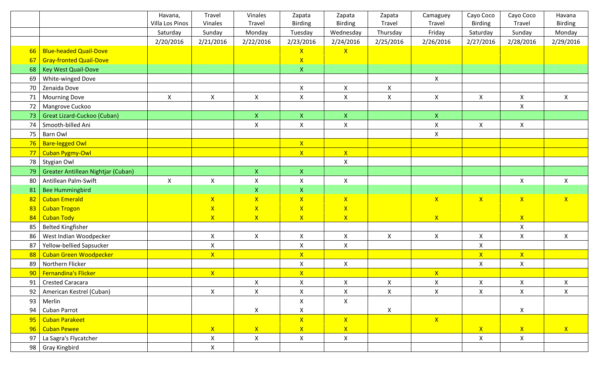|    |                                    | Havana,         | Travel             | Vinales                                | Zapata                    | Zapata             | Zapata         | Camaguey                             | Cayo Coco          | Cayo Coco          | Havana             |
|----|------------------------------------|-----------------|--------------------|----------------------------------------|---------------------------|--------------------|----------------|--------------------------------------|--------------------|--------------------|--------------------|
|    |                                    | Villa Los Pinos | Vinales            | Travel                                 | <b>Birding</b>            | <b>Birding</b>     | Travel         | Travel                               | <b>Birding</b>     | Travel             | Birding            |
|    |                                    | Saturday        | Sunday             | Monday                                 | Tuesday                   | Wednesday          | Thursday       | Friday                               | Saturday           | Sunday             | Monday             |
|    |                                    | 2/20/2016       | 2/21/2016          | 2/22/2016                              | 2/23/2016                 | 2/24/2016          | 2/25/2016      | 2/26/2016                            | 2/27/2016          | 2/28/2016          | 2/29/2016          |
| 66 | <b>Blue-headed Quail-Dove</b>      |                 |                    |                                        | $\mathsf{X}$              | $\mathsf{X}$       |                |                                      |                    |                    |                    |
| 67 | <b>Gray-fronted Quail-Dove</b>     |                 |                    |                                        | $\mathsf{X}$              |                    |                |                                      |                    |                    |                    |
| 68 | <b>Key West Quail-Dove</b>         |                 |                    |                                        | $\mathsf{X}$              |                    |                |                                      |                    |                    |                    |
| 69 | White-winged Dove                  |                 |                    |                                        |                           |                    |                | $\pmb{\mathsf{X}}$                   |                    |                    |                    |
| 70 | Zenaida Dove                       |                 |                    |                                        | $\mathsf X$               | $\pmb{\mathsf{X}}$ | $\mathsf{X}$   |                                      |                    |                    |                    |
| 71 | <b>Mourning Dove</b>               | $\pmb{\times}$  | $\pmb{\mathsf{X}}$ | $\mathsf{X}$                           | $\pmb{\mathsf{X}}$        | $\mathsf X$        | $\mathsf{X}$   | $\mathsf{X}$                         | $\pmb{\times}$     | $\mathsf X$        | $\mathsf{X}$       |
| 72 | Mangrove Cuckoo                    |                 |                    |                                        |                           |                    |                |                                      |                    | X                  |                    |
| 73 | Great Lizard-Cuckoo (Cuban)        |                 |                    | X                                      | $\mathsf X$               | $\mathsf{X}$       |                | $\mathsf{X}^{\scriptscriptstyle{+}}$ |                    |                    |                    |
| 74 | Smooth-billed Ani                  |                 |                    | $\pmb{\times}$                         | $\mathsf X$               | $\pmb{\times}$     |                | $\mathsf{X}$                         | $\mathsf{X}$       | $\mathsf{X}$       |                    |
| 75 | <b>Barn Owl</b>                    |                 |                    |                                        |                           |                    |                | $\mathsf X$                          |                    |                    |                    |
| 76 | <b>Bare-legged Owl</b>             |                 |                    |                                        | $\mathsf{X}$              |                    |                |                                      |                    |                    |                    |
| 77 | Cuban Pygmy-Owl                    |                 |                    |                                        | $\mathsf{X}$              | $\mathsf{X}$       |                |                                      |                    |                    |                    |
| 78 | Stygian Owl                        |                 |                    |                                        |                           | $\pmb{\mathsf{X}}$ |                |                                      |                    |                    |                    |
| 79 | Greater Antillean Nightjar (Cuban) |                 |                    | $\mathsf{X}^{\scriptscriptstyle \top}$ | $\mathsf X$               |                    |                |                                      |                    |                    |                    |
| 80 | Antillean Palm-Swift               | $\mathsf{X}$    | $\mathsf{X}$       | $\pmb{\mathsf{X}}$                     | $\pmb{\mathsf{X}}$        | $\pmb{\mathsf{X}}$ |                |                                      |                    | X                  | $\mathsf{X}$       |
| 81 | <b>Bee Hummingbird</b>             |                 |                    | $\mathsf X$                            | $\mathsf X$               |                    |                |                                      |                    |                    |                    |
| 82 | <b>Cuban Emerald</b>               |                 | $\mathsf{X}$       | $\mathsf{X}$                           | $\mathsf{X}$              | $\mathsf{X}$       |                | $\mathsf{X}$                         | X                  | $\mathsf{X}$       | X                  |
| 83 | <b>Cuban Trogon</b>                |                 | $\mathsf{X}$       | $\mathsf{X}$                           | $\mathsf{X}$              | $\mathsf{X}$       |                |                                      |                    |                    |                    |
| 84 | <b>Cuban Tody</b>                  |                 | $\mathsf{X}$       | $\mathsf{X}$                           | $\mathsf{X}$              | $\mathsf{X}$       |                | $\mathsf{X}$                         |                    | $\mathsf{X}$       |                    |
| 85 | <b>Belted Kingfisher</b>           |                 |                    |                                        |                           |                    |                |                                      |                    | X                  |                    |
| 86 | West Indian Woodpecker             |                 | $\pmb{\mathsf{X}}$ | $\pmb{\times}$                         | $\boldsymbol{\mathsf{X}}$ | $\pmb{\mathsf{X}}$ | $\mathsf{X}$   | $\mathsf{X}$                         | $\mathsf{X}$       | $\mathsf{X}$       | $\pmb{\mathsf{X}}$ |
| 87 | Yellow-bellied Sapsucker           |                 | $\pmb{\mathsf{X}}$ |                                        | $\pmb{\mathsf{X}}$        | $\pmb{\mathsf{X}}$ |                |                                      | X                  |                    |                    |
| 88 | <b>Cuban Green Woodpecker</b>      |                 | $\mathsf{X}^-$     |                                        | $\mathbf{X}$              |                    |                |                                      | $\mathsf{X}$       | $\mathsf{X}^-$     |                    |
| 89 | Northern Flicker                   |                 |                    |                                        | $\pmb{\mathsf{X}}$        | $\pmb{\times}$     |                |                                      | $\mathsf{X}$       | $\pmb{\mathsf{X}}$ |                    |
|    | 90   Fernandina's Flicker          |                 | $\mathsf{X}$       |                                        | $\mathsf{X}$              |                    |                | $\mathsf{X}$                         |                    |                    |                    |
| 91 | <b>Crested Caracara</b>            |                 |                    | $\pmb{\mathsf{X}}$                     | $\mathsf X$               | $\pmb{\mathsf{X}}$ | $\mathsf{X}^-$ | $\mathsf{X}$                         | $\pmb{\mathsf{X}}$ | $\mathsf X$        | $\mathsf X$        |
|    | 92   American Kestrel (Cuban)      |                 | $\mathsf{X}$       | X                                      | $\mathsf{X}$              | $\mathsf{X}$       | $\mathsf{X}^-$ | X                                    | $\mathsf{X}^-$     | X                  | X                  |
| 93 | Merlin                             |                 |                    |                                        | $\pmb{\times}$            | $\mathsf{X}$       |                |                                      |                    |                    |                    |
| 94 | Cuban Parrot                       |                 |                    | $\mathsf{X}$                           | $\pmb{\mathsf{X}}$        |                    | $\mathsf{X}$   |                                      |                    | $\mathsf X$        |                    |
| 95 | <b>Cuban Parakeet</b>              |                 |                    |                                        | $\mathsf{X}$              | X                  |                | X                                    |                    |                    |                    |
| 96 | <b>Cuban Pewee</b>                 |                 | X                  | X                                      | $\mathsf{X}$              | $\mathsf{X}^-$     |                |                                      | $\mathbf{X}$       | $\mathsf{X}$       | $\mathbf{X}$       |
| 97 | La Sagra's Flycatcher              |                 | $\mathsf{X}$       | $\mathsf{X}^-$                         | $\mathsf X$               | $\mathsf X$        |                |                                      | $\mathsf{X}$       | $\mathsf{X}^-$     |                    |
|    | 98   Gray Kingbird                 |                 | $\mathsf{X}$       |                                        |                           |                    |                |                                      |                    |                    |                    |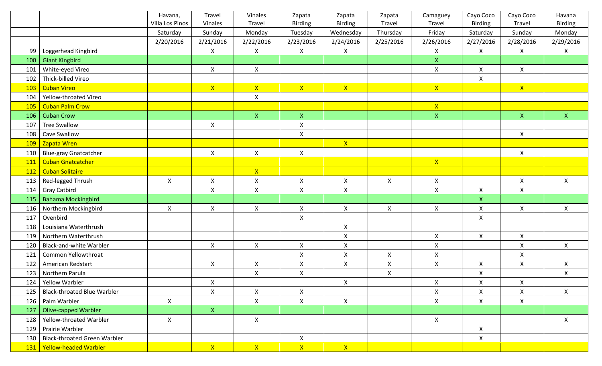|            |                                     | Havana,            | Travel             | Vinales        | Zapata                    | Zapata             | Zapata             | Camaguey           | Cayo Coco    | Cayo Coco          | Havana         |
|------------|-------------------------------------|--------------------|--------------------|----------------|---------------------------|--------------------|--------------------|--------------------|--------------|--------------------|----------------|
|            |                                     | Villa Los Pinos    | Vinales            | Travel         | <b>Birding</b>            | <b>Birding</b>     | Travel             | Travel             | Birding      | Travel             | Birding        |
|            |                                     | Saturday           | Sunday             | Monday         | Tuesday                   | Wednesday          | Thursday           | Friday             | Saturday     | Sunday             | Monday         |
|            |                                     | 2/20/2016          | 2/21/2016          | 2/22/2016      | 2/23/2016                 | 2/24/2016          | 2/25/2016          | 2/26/2016          | 2/27/2016    | 2/28/2016          | 2/29/2016      |
| 99         | Loggerhead Kingbird                 |                    | $\pmb{\mathsf{X}}$ | $\mathsf{X}$   | $\pmb{\times}$            | $\mathsf X$        |                    | X                  | $\mathsf{X}$ | $\mathsf{X}$       | $\mathsf{X}^-$ |
| 100        | <b>Giant Kingbird</b>               |                    |                    |                |                           |                    |                    | $\mathsf{X}$       |              |                    |                |
| 101        | White-eyed Vireo                    |                    | $\pmb{\mathsf{X}}$ | $\mathsf{X}$   |                           |                    |                    | $\mathsf X$        | X            | $\pmb{\mathsf{X}}$ |                |
| 102        | Thick-billed Vireo                  |                    |                    |                |                           |                    |                    |                    | $\mathsf{X}$ |                    |                |
| 103        | <b>Cuban Vireo</b>                  |                    | X                  | $X -$          | $\mathbf{X}$              | $\mathsf{X}$       |                    | X                  |              | $\mathsf{X}$       |                |
| 104        | Yellow-throated Vireo               |                    |                    | $\mathsf{X}$   |                           |                    |                    |                    |              |                    |                |
| <b>105</b> | <b>Cuban Palm Crow</b>              |                    |                    |                |                           |                    |                    | $\mathsf{X}$       |              |                    |                |
| 106        | <b>Cuban Crow</b>                   |                    |                    | $\mathsf{X}^-$ | $\boldsymbol{\mathsf{X}}$ |                    |                    | $\mathsf{X}$       |              | $\mathsf X$        | $\mathsf{X}^-$ |
| 107        | <b>Tree Swallow</b>                 |                    | $\pmb{\mathsf{X}}$ |                | $\pmb{\mathsf{X}}$        |                    |                    |                    |              |                    |                |
| 108        | <b>Cave Swallow</b>                 |                    |                    |                | $\pmb{\mathsf{X}}$        |                    |                    |                    |              | $\mathsf{X}$       |                |
| <b>109</b> | Zapata Wren                         |                    |                    |                |                           | $\mathsf{X}$       |                    |                    |              |                    |                |
| 110        | <b>Blue-gray Gnatcatcher</b>        |                    | $\mathsf{X}$       | $\mathsf{X}$   | $\mathsf{X}$              |                    |                    |                    |              | $\pmb{\mathsf{X}}$ |                |
| 111        | <b>Cuban Gnatcatcher</b>            |                    |                    |                |                           |                    |                    | $\mathsf{X}$       |              |                    |                |
| <b>112</b> | <b>Cuban Solitaire</b>              |                    |                    | $\mathsf{X}$   |                           |                    |                    |                    |              |                    |                |
| 113        | Red-legged Thrush                   | $\pmb{\mathsf{X}}$ | $\pmb{\mathsf{X}}$ | $\mathsf{X}$   | $\pmb{\times}$            | $\mathsf X$        | $\pmb{\mathsf{X}}$ | $\mathsf X$        |              | $\pmb{\mathsf{X}}$ | $\mathsf{X}$   |
| 114        | <b>Gray Catbird</b>                 |                    | $\pmb{\times}$     | $\mathsf X$    | $\pmb{\mathsf{X}}$        | $\mathsf X$        |                    | $\pmb{\mathsf{X}}$ | X            | $\mathsf{X}$       |                |
| 115        | <b>Bahama Mockingbird</b>           |                    |                    |                |                           |                    |                    |                    | $\mathsf{X}$ |                    |                |
| 116        | Northern Mockingbird                | $\pmb{\times}$     | $\pmb{\mathsf{X}}$ | $\mathsf{X}$   | $\pmb{\mathsf{X}}$        | $\pmb{\mathsf{X}}$ | X                  | $\mathsf{X}$       | X            | $\mathsf{X}$       | $\mathsf{X}$   |
| 117        | Ovenbird                            |                    |                    |                | $\pmb{\mathsf{X}}$        |                    |                    |                    | $\mathsf{X}$ |                    |                |
| 118        | Louisiana Waterthrush               |                    |                    |                |                           | X                  |                    |                    |              |                    |                |
| 119        | Northern Waterthrush                |                    |                    |                |                           | $\pmb{\times}$     |                    | $\mathsf{X}$       | $\mathsf{X}$ | $\mathsf{X}$       |                |
| 120        | <b>Black-and-white Warbler</b>      |                    | $\mathsf{X}$       | $\mathsf{X}$   | $\pmb{\times}$            | $\pmb{\mathsf{X}}$ |                    | $\mathsf X$        |              | $\mathsf{X}$       | $\mathsf{X}$   |
| 121        | Common Yellowthroat                 |                    |                    |                | $\boldsymbol{\mathsf{X}}$ | $\pmb{\times}$     | Χ                  | X                  |              | X                  |                |
| 122        | American Redstart                   |                    | $\mathsf{X}$       | $\mathsf{X}$   | $\pmb{\mathsf{X}}$        | $\pmb{\mathsf{X}}$ | X                  | $\mathsf{X}$       | X            | $\mathsf{X}$       | $\mathsf{X}$   |
| 123        | Northern Parula                     |                    |                    | $\mathsf{X}$   | $\pmb{\mathsf{X}}$        |                    | Χ                  |                    | X            |                    | $\mathsf{X}$   |
| 124        | <b>Yellow Warbler</b>               |                    | X                  |                |                           | X                  |                    | X                  | X            | X                  |                |
| 125        | <b>Black-throated Blue Warbler</b>  |                    | $\mathsf{X}$       | $\mathsf{X}$   | $\mathsf{X}$              |                    |                    | $\mathsf{X}$       | X            | $\mathsf{X}$       | $\mathsf{X}$   |
| 126        | Palm Warbler                        | $\pmb{\mathsf{X}}$ |                    | X              | $\pmb{\mathsf{X}}$        | $\mathsf{X}$       |                    | $\mathsf{X}$       | X            | $\mathsf{X}$       |                |
| 127        | <b>Olive-capped Warbler</b>         |                    | $\mathsf{X}$       |                |                           |                    |                    |                    |              |                    |                |
| 128        | Yellow-throated Warbler             | $\pmb{\mathsf{X}}$ |                    | $\mathsf{X}$   |                           |                    |                    | $\mathsf{X}$       |              |                    | $\mathsf{X}^-$ |
| 129        | Prairie Warbler                     |                    |                    |                |                           |                    |                    |                    | $\mathsf{X}$ |                    |                |
| 130        | <b>Black-throated Green Warbler</b> |                    |                    |                | $\mathsf{X}$              |                    |                    |                    | $\mathsf{X}$ |                    |                |
|            | 131   Yellow-headed Warbler         |                    | $\mathsf{X}$       | $\mathsf{X}^+$ | $\mathsf{X}$              | $\mathsf{X}$       |                    |                    |              |                    |                |